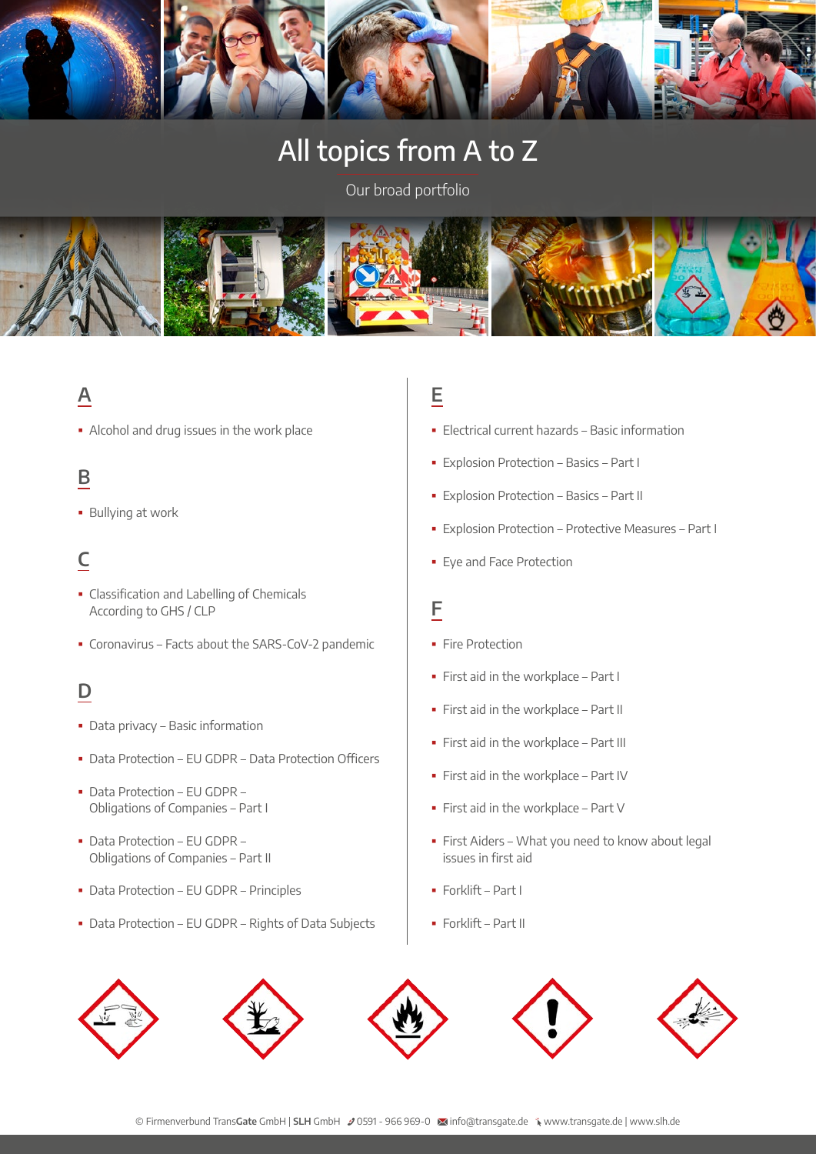

# All topics from A to Z

Our broad portfolio



## **A**

Alcohol and drug issues in the work place

## **B**

**Bullying at work** 

## **C**

- **-** Classification and Labelling of Chemicals According to GHS / CLP
- Coronavirus Facts about the SARS-CoV-2 pandemic

## **D**

- Data privacy Basic information
- Data Protection EU GDPR Data Protection Officers
- Data Protection EU GDPR Obligations of Companies – Part I
- Data Protection EU GDPR Obligations of Companies – Part II
- Data Protection EU GDPR Principles
- Data Protection EU GDPR Rights of Data Subjects

## **E**

- Electrical current hazards Basic information
- Explosion Protection Basics Part I
- Explosion Protection Basics Part II
- Explosion Protection Protective Measures Part I
- Eye and Face Protection

#### **F**

- **Fire Protection**
- First aid in the workplace Part I
- First aid in the workplace Part II
- First aid in the workplace Part III
- First aid in the workplace Part IV
- First aid in the workplace Part V
- First Aiders What you need to know about legal issues in first aid
- Forklift Part I
- Forklift Part II

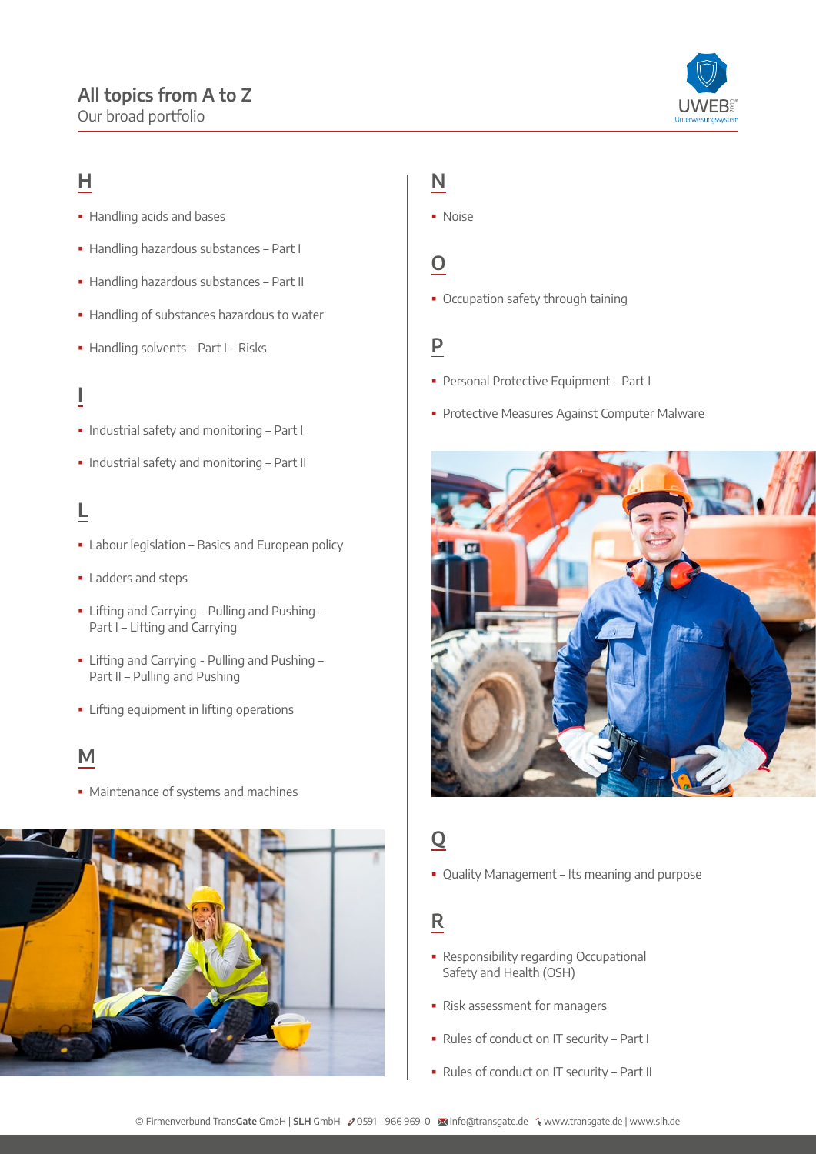## **All topics from A to Z**

Our broad portfolio



## **H**

- **Handling acids and bases**
- Handling hazardous substances Part I
- Handling hazardous substances Part II
- Handling of substances hazardous to water
- Handling solvents Part I Risks

### **I**

- Industrial safety and monitoring Part I
- Industrial safety and monitoring Part II

## **L**

- **Exercise 1** Labour legislation Basics and European policy
- **Ladders and steps**
- Lifting and Carrying Pulling and Pushing Part I – Lifting and Carrying
- **-** Lifting and Carrying Pulling and Pushing -Part II – Pulling and Pushing
- **·** Lifting equipment in lifting operations

### **M**

• Maintenance of systems and machines



#### **N**

· Noise

#### **O**

Occupation safety through taining

### **P**

- Personal Protective Equipment Part I
- **Protective Measures Against Computer Malware**



## **Q**

Quality Management – Its meaning and purpose

### **R**

- Responsibility regarding Occupational Safety and Health (OSH)
- Risk assessment for managers
- Rules of conduct on IT security Part I
- Rules of conduct on IT security Part II